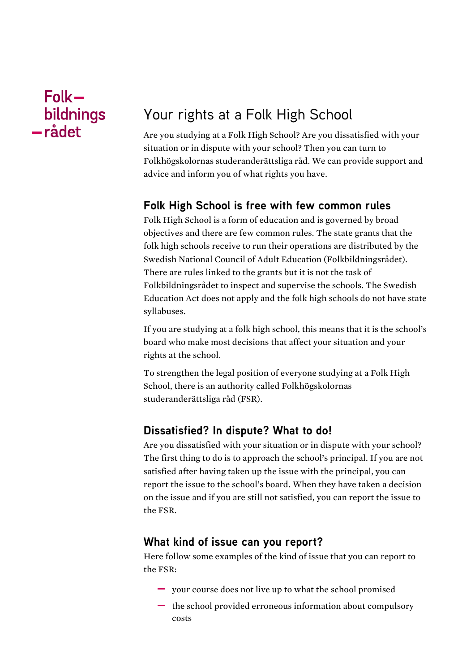## $Folk$ bildnings -rådet

# Your rights at a Folk High School

Are you studying at a Folk High School? Are you dissatisfied with your situation or in dispute with your school? Then you can turn to Folkhögskolornas studeranderättsliga råd. We can provide support and advice and inform you of what rights you have.

## **Folk High School is free with few common rules**

Folk High School is a form of education and is governed by broad objectives and there are few common rules. The state grants that the folk high schools receive to run their operations are distributed by the Swedish National Council of Adult Education (Folkbildningsrådet). There are rules linked to the grants but it is not the task of Folkbildningsrådet to inspect and supervise the schools. The Swedish Education Act does not apply and the folk high schools do not have state syllabuses.

If you are studying at a folk high school, this means that it is the school's board who make most decisions that affect your situation and your rights at the school.

To strengthen the legal position of everyone studying at a Folk High School, there is an authority called Folkhögskolornas studeranderättsliga råd (FSR).

## **Dissatisfied? In dispute? What to do!**

Are you dissatisfied with your situation or in dispute with your school? The first thing to do is to approach the school's principal. If you are not satisfied after having taken up the issue with the principal, you can report the issue to the school's board. When they have taken a decision on the issue and if you are still not satisfied, you can report the issue to the FSR.

#### **What kind of issue can you report?**

Here follow some examples of the kind of issue that you can report to the FSR:

- your course does not live up to what the school promised
- $\overline{\phantom{a}}$  the school provided erroneous information about compulsory costs